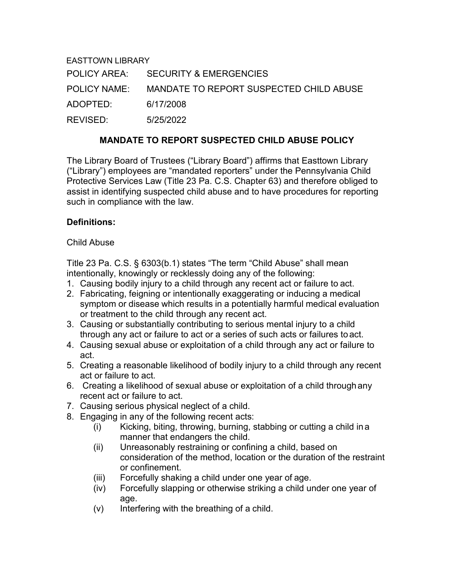EASTTOWN LIBRARY POLICY AREA: SECURITY & EMERGENCIES POLICY NAME: MANDATE TO REPORT SUSPECTED CHILD ABUSE ADOPTED: 6/17/2008 REVISED: 5/25/2022

#### **MANDATE TO REPORT SUSPECTED CHILD ABUSE POLICY**

The Library Board of Trustees ("Library Board") affirms that Easttown Library ("Library") employees are "mandated reporters" under the Pennsylvania Child Protective Services Law (Title 23 Pa. C.S. Chapter 63) and therefore obliged to assist in identifying suspected child abuse and to have procedures for reporting such in compliance with the law.

## **Definitions:**

Child Abuse

Title 23 Pa. C.S. § 6303(b.1) states "The term "Child Abuse" shall mean intentionally, knowingly or recklessly doing any of the following:

- 1. Causing bodily injury to a child through any recent act or failure to act.
- 2. Fabricating, feigning or intentionally exaggerating or inducing a medical symptom or disease which results in a potentially harmful medical evaluation or treatment to the child through any recent act.
- 3. Causing or substantially contributing to serious mental injury to a child through any act or failure to act or a series of such acts or failures toact.
- 4. Causing sexual abuse or exploitation of a child through any act or failure to act.
- 5. Creating a reasonable likelihood of bodily injury to a child through any recent act or failure to act.
- 6. Creating a likelihood of sexual abuse or exploitation of a child throughany recent act or failure to act.
- 7. Causing serious physical neglect of a child.
- 8. Engaging in any of the following recent acts:
	- (i) Kicking, biting, throwing, burning, stabbing or cutting a child ina manner that endangers the child.
	- (ii) Unreasonably restraining or confining a child, based on consideration of the method, location or the duration of the restraint or confinement.
	- (iii) Forcefully shaking a child under one year of age.
	- (iv) Forcefully slapping or otherwise striking a child under one year of age.
	- (v) Interfering with the breathing of a child.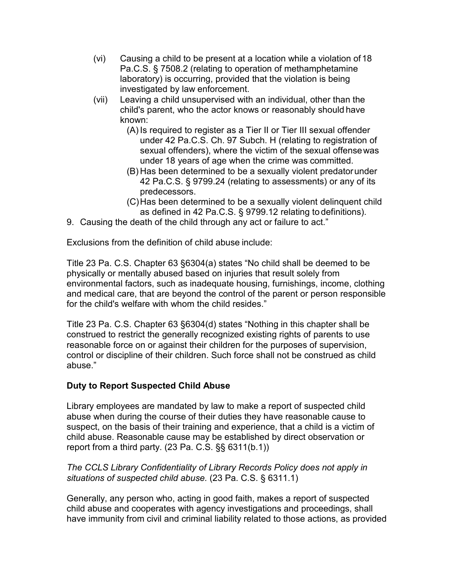- (vi) Causing a child to be present at a location while a violation of18 Pa.C.S. § 7508.2 (relating to operation of methamphetamine laboratory) is occurring, provided that the violation is being investigated by law enforcement.
- (vii) Leaving a child unsupervised with an individual, other than the child's parent, who the actor knows or reasonably should have known:
	- (A) Is required to register as a Tier II or Tier III sexual offender under 42 Pa.C.S. Ch. 97 Subch. H (relating to registration of sexual offenders), where the victim of the sexual offensewas under 18 years of age when the crime was committed.
	- (B) Has been determined to be a sexually violent predatorunder 42 Pa.C.S. § 9799.24 (relating to assessments) or any of its predecessors.
	- (C)Has been determined to be a sexually violent delinquent child as defined in 42 Pa.C.S. § 9799.12 relating to definitions).
- 9. Causing the death of the child through any act or failure to act."

Exclusions from the definition of child abuse include:

Title 23 Pa. C.S. Chapter 63 §6304(a) states "No child shall be deemed to be physically or mentally abused based on injuries that result solely from environmental factors, such as inadequate housing, furnishings, income, clothing and medical care, that are beyond the control of the parent or person responsible for the child's welfare with whom the child resides."

Title 23 Pa. C.S. Chapter 63 §6304(d) states "Nothing in this chapter shall be construed to restrict the generally recognized existing rights of parents to use reasonable force on or against their children for the purposes of supervision, control or discipline of their children. Such force shall not be construed as child abuse."

# **Duty to Report Suspected Child Abuse**

Library employees are mandated by law to make a report of suspected child abuse when during the course of their duties they have reasonable cause to suspect, on the basis of their training and experience, that a child is a victim of child abuse. Reasonable cause may be established by direct observation or report from a third party. (23 Pa. C.S. §§ 6311(b.1))

## *The CCLS Library Confidentiality of Library Records Policy does not apply in situations of suspected child abuse.* (23 Pa. C.S. § 6311.1)

Generally, any person who, acting in good faith, makes a report of suspected child abuse and cooperates with agency investigations and proceedings, shall have immunity from civil and criminal liability related to those actions, as provided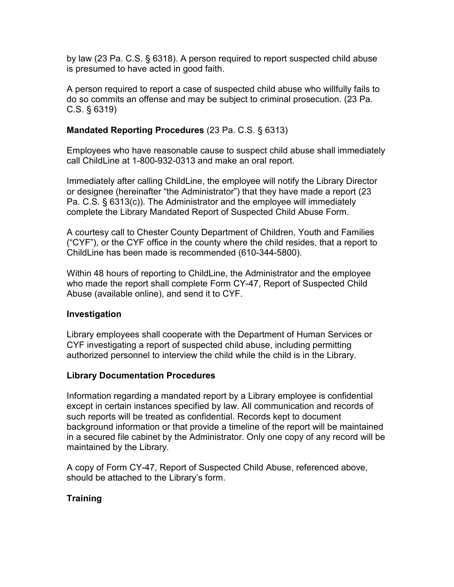by law (23 Pa. C.S. § 6318). A person required to report suspected child abuse is presumed to have acted in good faith.

A person required to report a case of suspected child abuse who willfully fails to do so commits an offense and may be subject to criminal prosecution. (23 Pa. C.S. § 6319)

# **Mandated Reporting Procedures** (23 Pa. C.S. § 6313)

Employees who have reasonable cause to suspect child abuse shall immediately call ChildLine at 1-800-932-0313 and make an oral report.

Immediately after calling ChildLine, the employee will notify the Library Director or designee (hereinafter "the Administrator") that they have made a report (23 Pa. C.S. § 6313(c)). The Administrator and the employee will immediately complete the Library Mandated Report of Suspected Child Abuse Form.

A courtesy call to Chester County Department of Children, Youth and Families ("CYF"), or the CYF office in the county where the child resides, that a report to ChildLine has been made is recommended (610-344-5800).

Within 48 hours of reporting to ChildLine, the Administrator and the employee who made the report shall complete Form CY-47, Report of Suspected Child Abuse (available online), and send it to CYF.

# **Investigation**

Library employees shall cooperate with the Department of Human Services or CYF investigating a report of suspected child abuse, including permitting authorized personnel to interview the child while the child is in the Library.

# **Library Documentation Procedures**

Information regarding a mandated report by a Library employee is confidential except in certain instances specified by law. All communication and records of such reports will be treated as confidential. Records kept to document background information or that provide a timeline of the report will be maintained in a secured file cabinet by the Administrator. Only one copy of any record will be maintained by the Library.

A copy of Form CY-47, Report of Suspected Child Abuse, referenced above, should be attached to the Library's form.

# **Training**